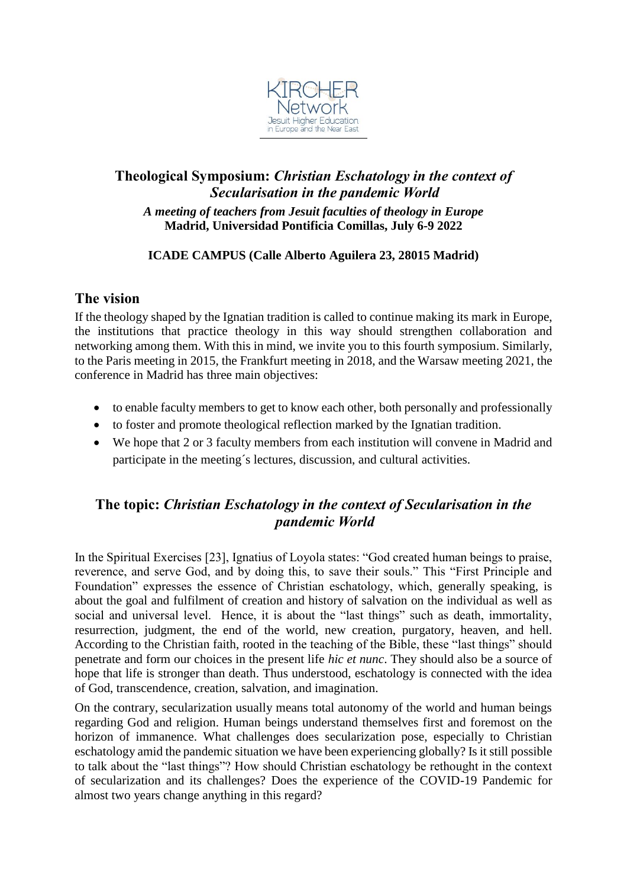

# **Theological Symposium:** *Christian Eschatology in the context of Secularisation in the pandemic World A meeting of teachers from Jesuit faculties of theology in Europe* **Madrid, Universidad Pontificia Comillas, July 6-9 2022**

### **ICADE CAMPUS (Calle Alberto Aguilera 23, 28015 Madrid)**

## **The vision**

If the theology shaped by the Ignatian tradition is called to continue making its mark in Europe, the institutions that practice theology in this way should strengthen collaboration and networking among them. With this in mind, we invite you to this fourth symposium. Similarly, to the Paris meeting in 2015, the Frankfurt meeting in 2018, and the Warsaw meeting 2021, the conference in Madrid has three main objectives:

- to enable faculty members to get to know each other, both personally and professionally
- to foster and promote theological reflection marked by the Ignatian tradition.
- We hope that 2 or 3 faculty members from each institution will convene in Madrid and participate in the meeting´s lectures, discussion, and cultural activities.

# **The topic:** *Christian Eschatology in the context of Secularisation in the pandemic World*

In the Spiritual Exercises [23], Ignatius of Loyola states: "God created human beings to praise, reverence, and serve God, and by doing this, to save their souls." This "First Principle and Foundation" expresses the essence of Christian eschatology, which, generally speaking, is about the goal and fulfilment of creation and history of salvation on the individual as well as social and universal level. Hence, it is about the "last things" such as death, immortality, resurrection, judgment, the end of the world, new creation, purgatory, heaven, and hell. According to the Christian faith, rooted in the teaching of the Bible, these "last things" should penetrate and form our choices in the present life *hic et nunc*. They should also be a source of hope that life is stronger than death. Thus understood, eschatology is connected with the idea of God, transcendence, creation, salvation, and imagination.

On the contrary, secularization usually means total autonomy of the world and human beings regarding God and religion. Human beings understand themselves first and foremost on the horizon of immanence. What challenges does secularization pose, especially to Christian eschatology amid the pandemic situation we have been experiencing globally? Is it still possible to talk about the "last things"? How should Christian eschatology be rethought in the context of secularization and its challenges? Does the experience of the COVID-19 Pandemic for almost two years change anything in this regard?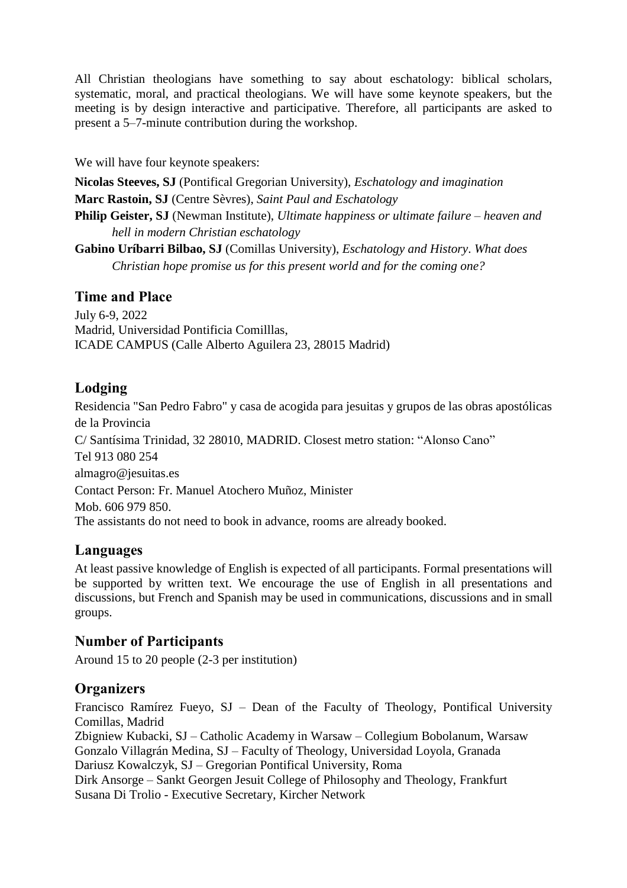All Christian theologians have something to say about eschatology: biblical scholars, systematic, moral, and practical theologians. We will have some keynote speakers, but the meeting is by design interactive and participative. Therefore, all participants are asked to present a 5–7-minute contribution during the workshop.

We will have four keynote speakers:

**Nicolas Steeves, SJ** (Pontifical Gregorian University), *Eschatology and imagination* **Marc Rastoin, SJ** (Centre Sèvres), *Saint Paul and Eschatology* **Philip Geister, SJ** (Newman Institute), *Ultimate happiness or ultimate failure – heaven and* 

*hell in modern Christian eschatology*

**Gabino Uríbarri Bilbao, SJ** (Comillas University), *Eschatology and History*. *What does Christian hope promise us for this present world and for the coming one?*

# **Time and Place**

July 6-9, 2022 Madrid, Universidad Pontificia Comilllas, ICADE CAMPUS (Calle Alberto Aguilera 23, 28015 Madrid)

# **Lodging**

Residencia "San Pedro Fabro" y casa de acogida para jesuitas y grupos de las obras apostólicas de la Provincia C/ Santísima Trinidad, 32 28010, MADRID. Closest metro station: "Alonso Cano" Tel 913 080 254 almagro@jesuitas.es Contact Person: Fr. Manuel Atochero Muñoz, Minister Mob. 606 979 850. The assistants do not need to book in advance, rooms are already booked.

## **Languages**

At least passive knowledge of English is expected of all participants. Formal presentations will be supported by written text. We encourage the use of English in all presentations and discussions, but French and Spanish may be used in communications, discussions and in small groups.

## **Number of Participants**

Around 15 to 20 people (2-3 per institution)

# **Organizers**

Francisco Ramírez Fueyo, SJ – Dean of the Faculty of Theology, Pontifical University Comillas, Madrid

Zbigniew Kubacki, SJ – Catholic Academy in Warsaw – Collegium Bobolanum, Warsaw Gonzalo Villagrán Medina, SJ – Faculty of Theology, Universidad Loyola, Granada Dariusz Kowalczyk, SJ – Gregorian Pontifical University, Roma

Dirk Ansorge – Sankt Georgen Jesuit College of Philosophy and Theology, Frankfurt Susana Di Trolio - Executive Secretary, Kircher Network